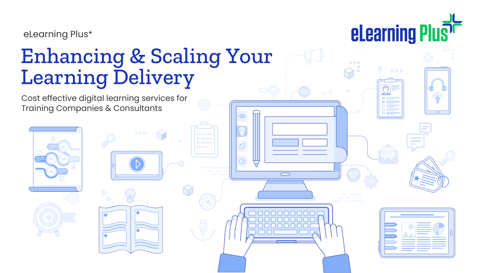

eLearning Plus**<sup>+</sup>**

# Enhancing & Scaling Your Learning Delivery

Cost effective digital learning services for Training Companies & Consultants



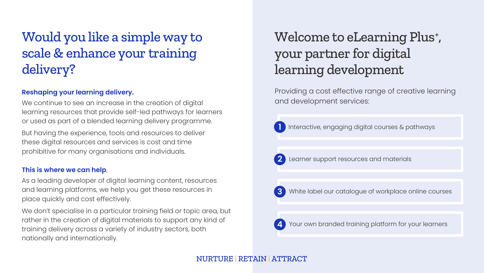# Would you like a simple way to scale & enhance your training delivery?

#### **Reshaping your learning delivery.**

We continue to see an increase in the creation of digital learning resources that provide self-led pathways for learners or used as part of a blended learning delivery programme.

But having the experience, tools and resources to deliver these digital resources and services is cost and time prohibitive for many organisations and individuals.

#### **This is where we can help**.

As a leading developer of digital learning content, resources and learning platforms, we help you get these resources in place quickly and cost effectively.

We don't specialise in a particular training field or topic area, but rather in the creation of digital materials to support any kind of training delivery across a variety of industry sectors, both nationally and internationally.

## Welcome to eLearning Plus<sup>+</sup>, your partner for digital learning development

Providing a cost effective range of creative learning and development services:

**1** Interactive, engaging digital courses & pathways



**2** Learner support resources and materials



**3** White label our catalogue of workplace online courses



**4** Your own branded training platform for your learners

#### NURTURE | RETAIN | ATTRACT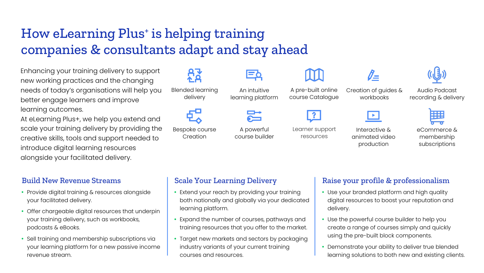# How eLearning Plus<sup>+</sup> is helping training companies & consultants adapt and stay ahead

Enhancing your training delivery to support new working practices and the changing needs of today's organisations will help you better engage learners and improve learning outcomes.

At eLearning Plus+, we help you extend and scale your training delivery by providing the creative skills, tools and support needed to introduce digital learning resources alongside your facilitated delivery.

#### Build New Revenue Streams

- Provide digital training & resources alongside your facilitated delivery.
- Offer chargeable digital resources that underpin your training delivery, such as workbooks, podcasts & eBooks.
- Sell training and membership subscriptions via your learning platform for a new passive income revenue stream.

93 Blended learning delivery

Bespoke course Creation

An intuitive learning platform

A powerful course builder Learner support resources

A pre-built online course Catalogue

> Interactive & animated video production

Creation of guides & workbooks

 $\mathscr{O}_{\mathbf{m}}$ 



Audio Podcast recording & delivery

噩

eCommerce & membership subscriptions

#### Scale Your Learning Delivery

- Extend your reach by providing your training both nationally and globally via your dedicated learning platform.
- Expand the number of courses, pathways and training resources that you offer to the market.
- Target new markets and sectors by packaging industry variants of your current training courses and resources.

#### Raise your profile & professionalism

- Use your branded platform and high quality digital resources to boost your reputation and delivery.
- Use the powerful course builder to help you create a range of courses simply and quickly using the pre-built block components.
- Demonstrate your ability to deliver true blended learning solutions to both new and existing clients.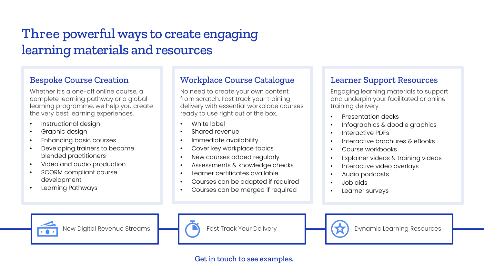# Three powerful ways to create engaging learning materials and resources

### Bespoke Course Creation

Whether it's a one-off online course, a complete learning pathway or a global learning programme, we help you create the very best learning experiences.

- Instructional design
- Graphic design
- Enhancing basic courses
- Developing trainers to become blended practitioners
- Video and audio production
- SCORM compliant course development
- Learning Pathways

### Workplace Course Catalogue

No need to create your own content from scratch. Fast track your training delivery with essential workplace courses ready to use right out of the box.

- White label
- Shared revenue
- Immediate availability
- Cover key workplace topics
- New courses added regularly
- Assessments & knowledge checks
- Learner certificates available
- Courses can be adapted if required
- Courses can be merged if required

### Learner Support Resources

Engaging learning materials to support and underpin your facilitated or online training delivery.

- Presentation decks
- Infographics & doodle graphics
- Interactive PDFs
- Interactive brochures & eBooks
- Course workbooks
- Explainer videos & training videos
- Interactive video overlays
- Audio podcasts
- Job aids
- Learner surveys







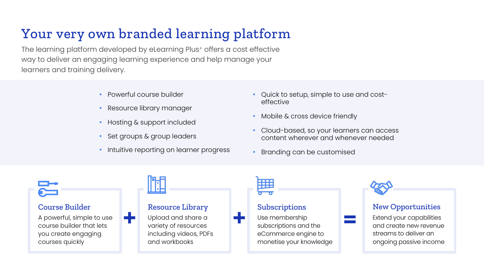# Your very own branded learning platform

The learning platform developed by eLearning Plus<sup>+</sup> offers a cost effective way to deliver an engaging learning experience and help manage your learners and training delivery.

- Powerful course builder
- Resource library manager
- Hosting & support included
- Set groups & group leaders
- **Intuitive reporting on learner progress**
- Quick to setup, simple to use and costeffective
- Mobile & cross device friendly
- Cloud-based, so your learners can access content wherever and whenever needed
- **Branding can be customised**

#### Course Builder

A powerful, simple to use course builder that lets you create engaging courses quickly

#### Resource Library

Upload and share a variety of resources including videos, PDFs and workbooks



#### Subscriptions

**+ + =** Use membership subscriptions and the eCommerce engine to monetise your knowledge



#### New Opportunities

Extend your capabilities and create new revenue streams to deliver an ongoing passive income